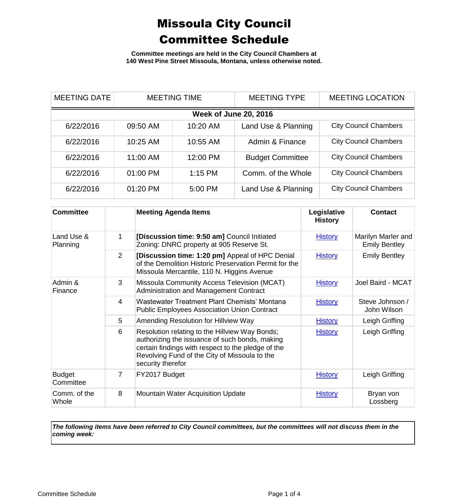**Committee meetings are held in the City Council Chambers at 140 West Pine Street Missoula, Montana, unless otherwise noted.**

| <b>MEETING DATE</b>          | <b>MEETING TIME</b> |           | <b>MEETING TYPE</b>     | <b>MEETING LOCATION</b>      |  |
|------------------------------|---------------------|-----------|-------------------------|------------------------------|--|
| <b>Week of June 20, 2016</b> |                     |           |                         |                              |  |
| 6/22/2016                    | 09:50 AM            | 10:20 AM  | Land Use & Planning     | <b>City Council Chambers</b> |  |
| 6/22/2016                    | 10:25 AM            | 10:55 AM  | Admin & Finance         | <b>City Council Chambers</b> |  |
| 6/22/2016                    | 11:00 AM            | 12:00 PM  | <b>Budget Committee</b> | <b>City Council Chambers</b> |  |
| 6/22/2016                    | 01:00 PM            | $1:15$ PM | Comm. of the Whole      | <b>City Council Chambers</b> |  |
| 6/22/2016                    | 01:20 PM            | 5:00 PM   | Land Use & Planning     | <b>City Council Chambers</b> |  |

| <b>Committee</b>           |                | <b>Meeting Agenda Items</b>                                                                                                                                                                                                  | Legislative<br><b>History</b> | <b>Contact</b>                             |
|----------------------------|----------------|------------------------------------------------------------------------------------------------------------------------------------------------------------------------------------------------------------------------------|-------------------------------|--------------------------------------------|
| Land Use &<br>Planning     | 1              | [Discussion time: 9:50 am] Council Initiated<br>Zoning: DNRC property at 905 Reserve St.                                                                                                                                     | <b>History</b>                | Marilyn Marler and<br><b>Emily Bentley</b> |
|                            | $\overline{2}$ | [Discussion time: 1:20 pm] Appeal of HPC Denial<br>of the Demolition Historic Preservation Permit for the<br>Missoula Mercantile, 110 N. Higgins Avenue                                                                      | <b>History</b>                | <b>Emily Bentley</b>                       |
| Admin &<br>Finance         | 3              | Missoula Community Access Television (MCAT)<br>Administration and Management Contract                                                                                                                                        | <b>History</b>                | Joel Baird - MCAT                          |
|                            | 4              | Wastewater Treatment Plant Chemists' Montana<br><b>Public Employees Association Union Contract</b>                                                                                                                           | <b>History</b>                | Steve Johnson /<br>John Wilson             |
|                            | 5              | Amending Resolution for Hillview Way                                                                                                                                                                                         | <b>History</b>                | Leigh Griffing                             |
|                            | 6              | Resolution relating to the Hillview Way Bonds;<br>authorizing the issuance of such bonds, making<br>certain findings with respect to the pledge of the<br>Revolving Fund of the City of Missoula to the<br>security therefor | <b>History</b>                | Leigh Griffing                             |
| <b>Budget</b><br>Committee | 7              | FY2017 Budget                                                                                                                                                                                                                | <b>History</b>                | Leigh Griffing                             |
| Comm. of the<br>Whole      | 8              | <b>Mountain Water Acquisition Update</b>                                                                                                                                                                                     | <b>History</b>                | Bryan von<br>Lossberg                      |

*The following items have been referred to City Council committees, but the committees will not discuss them in the coming week:*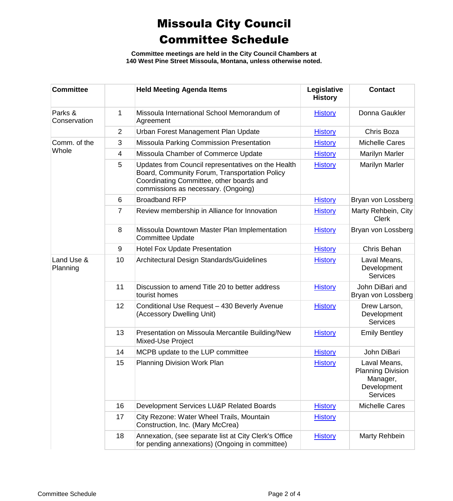**Committee meetings are held in the City Council Chambers at 140 West Pine Street Missoula, Montana, unless otherwise noted.**

| <b>Committee</b>        |                | <b>Held Meeting Agenda Items</b>                                                                                                                                                       | Legislative<br><b>History</b> | <b>Contact</b>                                                                         |
|-------------------------|----------------|----------------------------------------------------------------------------------------------------------------------------------------------------------------------------------------|-------------------------------|----------------------------------------------------------------------------------------|
| Parks &<br>Conservation | 1              | Missoula International School Memorandum of<br>Agreement                                                                                                                               | <b>History</b>                | Donna Gaukler                                                                          |
|                         | $\overline{2}$ | Urban Forest Management Plan Update                                                                                                                                                    | <b>History</b>                | Chris Boza                                                                             |
| Comm. of the<br>Whole   | 3              | Missoula Parking Commission Presentation                                                                                                                                               | <b>History</b>                | <b>Michelle Cares</b>                                                                  |
|                         | 4              | Missoula Chamber of Commerce Update                                                                                                                                                    | <b>History</b>                | <b>Marilyn Marler</b>                                                                  |
|                         | 5              | Updates from Council representatives on the Health<br>Board, Community Forum, Transportation Policy<br>Coordinating Committee, other boards and<br>commissions as necessary. (Ongoing) | <b>History</b>                | Marilyn Marler                                                                         |
|                         | 6              | <b>Broadband RFP</b>                                                                                                                                                                   | <b>History</b>                | Bryan von Lossberg                                                                     |
|                         | 7              | Review membership in Alliance for Innovation                                                                                                                                           | <b>History</b>                | Marty Rehbein, City<br><b>Clerk</b>                                                    |
|                         | 8              | Missoula Downtown Master Plan Implementation<br><b>Committee Update</b>                                                                                                                | <b>History</b>                | Bryan von Lossberg                                                                     |
|                         | 9              | <b>Hotel Fox Update Presentation</b>                                                                                                                                                   | <b>History</b>                | Chris Behan                                                                            |
| Land Use &<br>Planning  | 10             | Architectural Design Standards/Guidelines                                                                                                                                              | <b>History</b>                | Laval Means,<br>Development<br><b>Services</b>                                         |
|                         | 11             | Discussion to amend Title 20 to better address<br>tourist homes                                                                                                                        | <b>History</b>                | John DiBari and<br>Bryan von Lossberg                                                  |
|                         | 12             | Conditional Use Request - 430 Beverly Avenue<br>(Accessory Dwelling Unit)                                                                                                              | <b>History</b>                | Drew Larson,<br>Development<br><b>Services</b>                                         |
|                         | 13             | Presentation on Missoula Mercantile Building/New<br>Mixed-Use Project                                                                                                                  | <b>History</b>                | <b>Emily Bentley</b>                                                                   |
|                         | 14             | MCPB update to the LUP committee                                                                                                                                                       | <b>History</b>                | John DiBari                                                                            |
|                         | 15             | <b>Planning Division Work Plan</b>                                                                                                                                                     | <b>History</b>                | Laval Means,<br><b>Planning Division</b><br>Manager,<br>Development<br><b>Services</b> |
|                         | 16             | Development Services LU&P Related Boards                                                                                                                                               | <b>History</b>                | <b>Michelle Cares</b>                                                                  |
|                         | 17             | City Rezone: Water Wheel Trails, Mountain<br>Construction, Inc. (Mary McCrea)                                                                                                          | <b>History</b>                |                                                                                        |
|                         | 18             | Annexation, (see separate list at City Clerk's Office<br>for pending annexations) (Ongoing in committee)                                                                               | <b>History</b>                | Marty Rehbein                                                                          |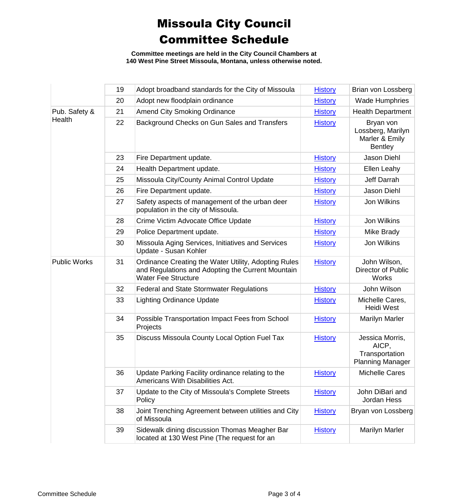**Committee meetings are held in the City Council Chambers at 140 West Pine Street Missoula, Montana, unless otherwise noted.**

|                     | 19 | Adopt broadband standards for the City of Missoula                                                                                      | <b>History</b> | Brian von Lossberg                                                    |
|---------------------|----|-----------------------------------------------------------------------------------------------------------------------------------------|----------------|-----------------------------------------------------------------------|
|                     | 20 | Adopt new floodplain ordinance                                                                                                          | <b>History</b> | <b>Wade Humphries</b>                                                 |
| Pub. Safety &       | 21 | <b>Amend City Smoking Ordinance</b>                                                                                                     | <b>History</b> | <b>Health Department</b>                                              |
| <b>Health</b>       | 22 | Background Checks on Gun Sales and Transfers                                                                                            | <b>History</b> | Bryan von<br>Lossberg, Marilyn<br>Marler & Emily<br><b>Bentley</b>    |
|                     | 23 | Fire Department update.                                                                                                                 | <b>History</b> | Jason Diehl                                                           |
|                     | 24 | Health Department update.                                                                                                               | <b>History</b> | Ellen Leahy                                                           |
|                     | 25 | Missoula City/County Animal Control Update                                                                                              | <b>History</b> | Jeff Darrah                                                           |
|                     | 26 | Fire Department update.                                                                                                                 | <b>History</b> | Jason Diehl                                                           |
|                     | 27 | Safety aspects of management of the urban deer<br>population in the city of Missoula.                                                   | <b>History</b> | Jon Wilkins                                                           |
|                     | 28 | Crime Victim Advocate Office Update                                                                                                     | <b>History</b> | Jon Wilkins                                                           |
|                     | 29 | Police Department update.                                                                                                               | <b>History</b> | Mike Brady                                                            |
|                     | 30 | Missoula Aging Services, Initiatives and Services<br>Update - Susan Kohler                                                              | <b>History</b> | Jon Wilkins                                                           |
| <b>Public Works</b> | 31 | Ordinance Creating the Water Utility, Adopting Rules<br>and Regulations and Adopting the Current Mountain<br><b>Water Fee Structure</b> | <b>History</b> | John Wilson,<br>Director of Public<br>Works                           |
|                     | 32 | <b>Federal and State Stormwater Regulations</b>                                                                                         | <b>History</b> | John Wilson                                                           |
|                     | 33 | <b>Lighting Ordinance Update</b>                                                                                                        | <b>History</b> | Michelle Cares,<br><b>Heidi West</b>                                  |
|                     | 34 | Possible Transportation Impact Fees from School<br>Projects                                                                             | <b>History</b> | <b>Marilyn Marler</b>                                                 |
|                     | 35 | Discuss Missoula County Local Option Fuel Tax                                                                                           | <b>History</b> | Jessica Morris,<br>AICP,<br>Transportation<br><b>Planning Manager</b> |
|                     | 36 | Update Parking Facility ordinance relating to the<br>Americans With Disabilities Act.                                                   | <b>History</b> | <b>Michelle Cares</b>                                                 |
|                     | 37 | Update to the City of Missoula's Complete Streets<br>Policy                                                                             | <b>History</b> | John DiBari and<br>Jordan Hess                                        |
|                     | 38 | Joint Trenching Agreement between utilities and City<br>of Missoula                                                                     | <b>History</b> | Bryan von Lossberg                                                    |
|                     | 39 | Sidewalk dining discussion Thomas Meagher Bar<br>located at 130 West Pine (The request for an                                           | <b>History</b> | <b>Marilyn Marler</b>                                                 |